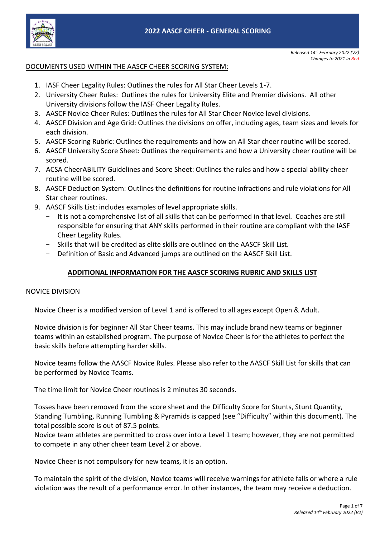

# DOCUMENTS USED WITHIN THE AASCF CHEER SCORING SYSTEM:

- 1. IASF Cheer Legality Rules: Outlines the rules for All Star Cheer Levels 1-7.
- 2. University Cheer Rules: Outlines the rules for University Elite and Premier divisions. All other University divisions follow the IASF Cheer Legality Rules.
- 3. AASCF Novice Cheer Rules: Outlines the rules for All Star Cheer Novice level divisions.
- 4. AASCF Division and Age Grid: Outlines the divisions on offer, including ages, team sizes and levels for each division.
- 5. AASCF Scoring Rubric: Outlines the requirements and how an All Star cheer routine will be scored.
- 6. AASCF University Score Sheet: Outlines the requirements and how a University cheer routine will be scored.
- 7. ACSA CheerABILITY Guidelines and Score Sheet: Outlines the rules and how a special ability cheer routine will be scored.
- 8. AASCF Deduction System: Outlines the definitions for routine infractions and rule violations for All Star cheer routines.
- 9. AASCF Skills List: includes examples of level appropriate skills.
	- − It is not a comprehensive list of all skills that can be performed in that level. Coaches are still responsible for ensuring that ANY skills performed in their routine are compliant with the IASF Cheer Legality Rules.
	- − Skills that will be credited as elite skills are outlined on the AASCF Skill List.
	- − Definition of Basic and Advanced jumps are outlined on the AASCF Skill List.

## **ADDITIONAL INFORMATION FOR THE AASCF SCORING RUBRIC AND SKILLS LIST**

#### NOVICE DIVISION

Novice Cheer is a modified version of Level 1 and is offered to all ages except Open & Adult.

Novice division is for beginner All Star Cheer teams. This may include brand new teams or beginner teams within an established program. The purpose of Novice Cheer is for the athletes to perfect the basic skills before attempting harder skills.

Novice teams follow the AASCF Novice Rules. Please also refer to the AASCF Skill List for skills that can be performed by Novice Teams.

The time limit for Novice Cheer routines is 2 minutes 30 seconds.

Tosses have been removed from the score sheet and the Difficulty Score for Stunts, Stunt Quantity, Standing Tumbling, Running Tumbling & Pyramids is capped (see "Difficulty" within this document). The total possible score is out of 87.5 points.

Novice team athletes are permitted to cross over into a Level 1 team; however, they are not permitted to compete in any other cheer team Level 2 or above.

Novice Cheer is not compulsory for new teams, it is an option.

To maintain the spirit of the division, Novice teams will receive warnings for athlete falls or where a rule violation was the result of a performance error. In other instances, the team may receive a deduction.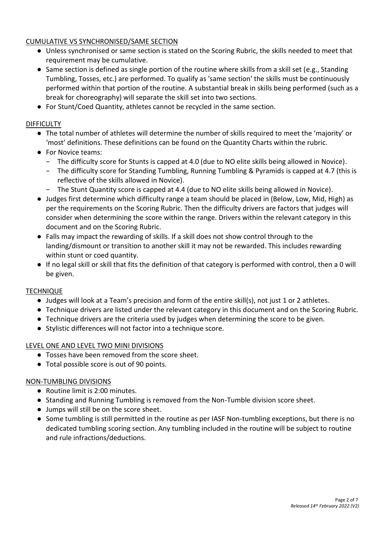# CUMULATIVE VS SYNCHRONISED/SAME SECTION

- Unless synchronised or same section is stated on the Scoring Rubric, the skills needed to meet that requirement may be cumulative.
- Same section is defined as single portion of the routine where skills from a skill set (e.g., Standing Tumbling, Tosses, etc.) are performed. To qualify as 'same section' the skills must be continuously performed within that portion of the routine. A substantial break in skills being performed (such as a break for choreography) will separate the skill set into two sections.
- For Stunt/Coed Quantity, athletes cannot be recycled in the same section.

# **DIFFICULTY**

- The total number of athletes will determine the number of skills required to meet the 'majority' or 'most' definitions. These definitions can be found on the Quantity Charts within the rubric.
- For Novice teams:
	- − The difficulty score for Stunts is capped at 4.0 (due to NO elite skills being allowed in Novice).
	- − The difficulty score for Standing Tumbling, Running Tumbling & Pyramids is capped at 4.7 (this is reflective of the skills allowed in Novice).
	- − The Stunt Quantity score is capped at 4.4 (due to NO elite skills being allowed in Novice).
- Judges first determine which difficulty range a team should be placed in (Below, Low, Mid, High) as per the requirements on the Scoring Rubric. Then the difficulty drivers are factors that judges will consider when determining the score within the range. Drivers within the relevant category in this document and on the Scoring Rubric.
- Falls may impact the rewarding of skills. If a skill does not show control through to the landing/dismount or transition to another skill it may not be rewarded. This includes rewarding within stunt or coed quantity.
- If no legal skill or skill that fits the definition of that category is performed with control, then a 0 will be given.

# **TECHNIQUE**

- Judges will look at a Team's precision and form of the entire skill(s), not just 1 or 2 athletes.
- Technique drivers are listed under the relevant category in this document and on the Scoring Rubric.
- Technique drivers are the criteria used by judges when determining the score to be given.
- Stylistic differences will not factor into a technique score.

# LEVEL ONE AND LEVEL TWO MINI DIVISIONS

- Tosses have been removed from the score sheet.
- Total possible score is out of 90 points.

# NON-TUMBLING DIVISIONS

- Routine limit is 2:00 minutes.
- Standing and Running Tumbling is removed from the Non-Tumble division score sheet.
- Jumps will still be on the score sheet.
- Some tumbling is still permitted in the routine as per IASF Non-tumbling exceptions, but there is no dedicated tumbling scoring section. Any tumbling included in the routine will be subject to routine and rule infractions/deductions.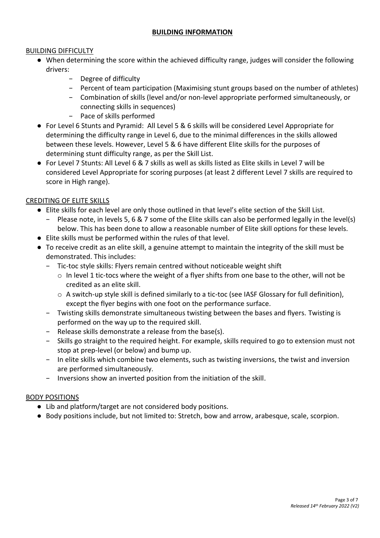## **BUILDING INFORMATION**

#### BUILDING DIFFICULTY

- When determining the score within the achieved difficulty range, judges will consider the following drivers:
	- Degree of difficulty
	- − Percent of team participation (Maximising stunt groups based on the number of athletes)
	- − Combination of skills (level and/or non-level appropriate performed simultaneously, or connecting skills in sequences)
	- − Pace of skills performed
- For Level 6 Stunts and Pyramid: All Level 5 & 6 skills will be considered Level Appropriate for determining the difficulty range in Level 6, due to the minimal differences in the skills allowed between these levels. However, Level 5 & 6 have different Elite skills for the purposes of determining stunt difficulty range, as per the Skill List.
- For Level 7 Stunts: All Level 6 & 7 skills as well as skills listed as Elite skills in Level 7 will be considered Level Appropriate for scoring purposes (at least 2 different Level 7 skills are required to score in High range).

#### CREDITING OF ELITE SKILLS

- Elite skills for each level are only those outlined in that level's elite section of the Skill List.
	- Please note, in levels 5, 6 & 7 some of the Elite skills can also be performed legally in the level(s) below. This has been done to allow a reasonable number of Elite skill options for these levels.
- Elite skills must be performed within the rules of that level.
- To receive credit as an elite skill, a genuine attempt to maintain the integrity of the skill must be demonstrated. This includes:
	- − Tic-toc style skills: Flyers remain centred without noticeable weight shift
		- o In level 1 tic-tocs where the weight of a flyer shifts from one base to the other, will not be credited as an elite skill.
		- o A switch-up style skill is defined similarly to a tic-toc (see IASF Glossary for full definition), except the flyer begins with one foot on the performance surface.
	- − Twisting skills demonstrate simultaneous twisting between the bases and flyers. Twisting is performed on the way up to the required skill.
	- − Release skills demonstrate a release from the base(s).
	- − Skills go straight to the required height. For example, skills required to go to extension must not stop at prep-level (or below) and bump up.
	- − In elite skills which combine two elements, such as twisting inversions, the twist and inversion are performed simultaneously.
	- − Inversions show an inverted position from the initiation of the skill.

#### BODY POSITIONS

- Lib and platform/target are not considered body positions.
- Body positions include, but not limited to: Stretch, bow and arrow, arabesque, scale, scorpion.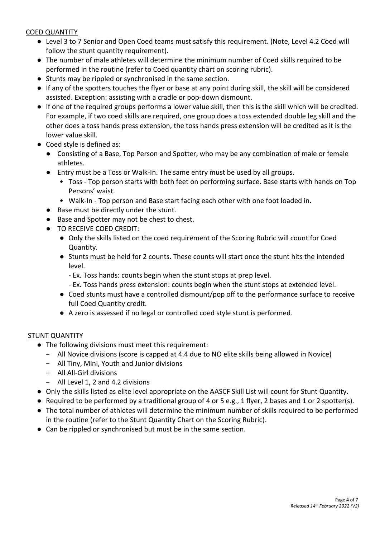## COED QUANTITY

- Level 3 to 7 Senior and Open Coed teams must satisfy this requirement. (Note, Level 4.2 Coed will follow the stunt quantity requirement).
- The number of male athletes will determine the minimum number of Coed skills required to be performed in the routine (refer to Coed quantity chart on scoring rubric).
- Stunts may be rippled or synchronised in the same section.
- If any of the spotters touches the flyer or base at any point during skill, the skill will be considered assisted. Exception: assisting with a cradle or pop-down dismount.
- If one of the required groups performs a lower value skill, then this is the skill which will be credited. For example, if two coed skills are required, one group does a toss extended double leg skill and the other does a toss hands press extension, the toss hands press extension will be credited as it is the lower value skill.
- Coed style is defined as:
	- Consisting of a Base, Top Person and Spotter, who may be any combination of male or female athletes.
	- Entry must be a Toss or Walk-In. The same entry must be used by all groups.
		- Toss Top person starts with both feet on performing surface. Base starts with hands on Top Persons' waist.
		- Walk-In Top person and Base start facing each other with one foot loaded in.
	- Base must be directly under the stunt.
	- Base and Spotter may not be chest to chest.
	- TO RECEIVE COED CREDIT:
		- Only the skills listed on the coed requirement of the Scoring Rubric will count for Coed Quantity.
		- Stunts must be held for 2 counts. These counts will start once the stunt hits the intended level.
			- Ex. Toss hands: counts begin when the stunt stops at prep level.
			- Ex. Toss hands press extension: counts begin when the stunt stops at extended level.
		- Coed stunts must have a controlled dismount/pop off to the performance surface to receive full Coed Quantity credit.
		- A zero is assessed if no legal or controlled coed style stunt is performed.

# STUNT QUANTITY

- The following divisions must meet this requirement:
	- − All Novice divisions (score is capped at 4.4 due to NO elite skills being allowed in Novice)
	- − All Tiny, Mini, Youth and Junior divisions
	- − All All-Girl divisions
	- − All Level 1, 2 and 4.2 divisions
- Only the skills listed as elite level appropriate on the AASCF Skill List will count for Stunt Quantity.
- Required to be performed by a traditional group of 4 or 5 e.g., 1 flyer, 2 bases and 1 or 2 spotter(s).
- The total number of athletes will determine the minimum number of skills required to be performed in the routine (refer to the Stunt Quantity Chart on the Scoring Rubric).
- Can be rippled or synchronised but must be in the same section.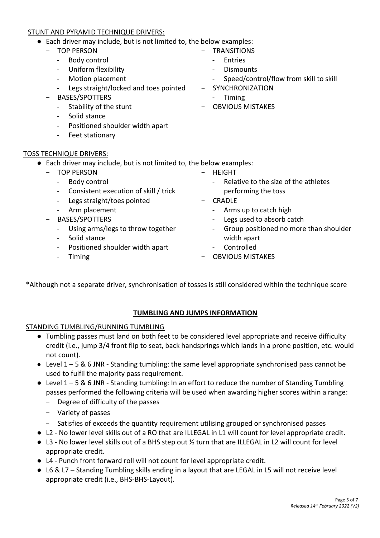#### STUNT AND PYRAMID TECHNIQUE DRIVERS:

- Each driver may include, but is not limited to, the below examples:
	- − TOP PERSON
		- Body control
		- Uniform flexibility
		- Motion placement
		- Legs straight/locked and toes pointed
	- − BASES/SPOTTERS
		- Stability of the stunt
		- Solid stance
		- Positioned shoulder width apart
		- Feet stationary

#### TOSS TECHNIQUE DRIVERS:

- Each driver may include, but is not limited to, the below examples:
	- − TOP PERSON
		- Body control
		- Consistent execution of skill / trick
		- Legs straight/toes pointed
		- Arm placement
	- − BASES/SPOTTERS
		- Using arms/legs to throw together
		- Solid stance
		- Positioned shoulder width apart
		- Timing
- − HEIGHT
	- Relative to the size of the athletes performing the toss
- − CRADLE
	- Arms up to catch high
	- Legs used to absorb catch
	- Group positioned no more than shoulder width apart
	- **Controlled**
- − OBVIOUS MISTAKES

\*Although not a separate driver, synchronisation of tosses is still considered within the technique score

# **TUMBLING AND JUMPS INFORMATION**

#### STANDING TUMBLING/RUNNING TUMBLING

- Tumbling passes must land on both feet to be considered level appropriate and receive difficulty credit (i.e., jump 3/4 front flip to seat, back handsprings which lands in a prone position, etc. would not count).
- Level 1 5 & 6 JNR Standing tumbling: the same level appropriate synchronised pass cannot be used to fulfil the majority pass requirement.
- $\bullet$  Level 1 5 & 6 JNR Standing tumbling: In an effort to reduce the number of Standing Tumbling passes performed the following criteria will be used when awarding higher scores within a range:
	- − Degree of difficulty of the passes
	- − Variety of passes
	- − Satisfies of exceeds the quantity requirement utilising grouped or synchronised passes
- L2 No lower level skills out of a RO that are ILLEGAL in L1 will count for level appropriate credit.
- L3 No lower level skills out of a BHS step out ½ turn that are ILLEGAL in L2 will count for level appropriate credit.
- L4 Punch front forward roll will not count for level appropriate credit.
- L6 & L7 Standing Tumbling skills ending in a layout that are LEGAL in L5 will not receive level appropriate credit (i.e., BHS-BHS-Layout).
- − TRANSITIONS **Entries**
- Dismounts
- Speed/control/flow from skill to skill
- − SYNCHRONIZATION
	- Timing
- − OBVIOUS MISTAKES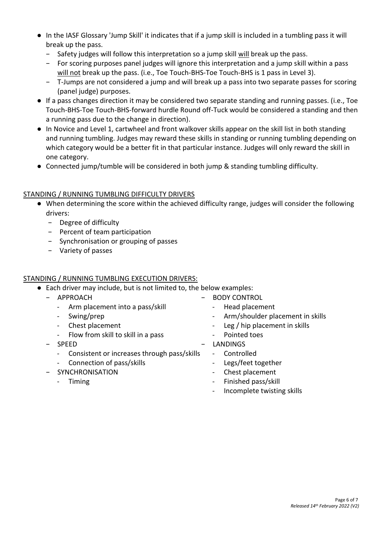- In the IASF Glossary 'Jump Skill' it indicates that if a jump skill is included in a tumbling pass it will break up the pass.
	- − Safety judges will follow this interpretation so a jump skill will break up the pass.
	- − For scoring purposes panel judges will ignore this interpretation and a jump skill within a pass will not break up the pass. (i.e., Toe Touch-BHS-Toe Touch-BHS is 1 pass in Level 3).
	- − T-Jumps are not considered a jump and will break up a pass into two separate passes for scoring (panel judge) purposes.
- If a pass changes direction it may be considered two separate standing and running passes. (i.e., Toe Touch-BHS-Toe Touch-BHS-forward hurdle Round off-Tuck would be considered a standing and then a running pass due to the change in direction).
- In Novice and Level 1, cartwheel and front walkover skills appear on the skill list in both standing and running tumbling. Judges may reward these skills in standing or running tumbling depending on which category would be a better fit in that particular instance. Judges will only reward the skill in one category.
- Connected jump/tumble will be considered in both jump & standing tumbling difficulty.

### STANDING / RUNNING TUMBLING DIFFICULTY DRIVERS

- When determining the score within the achieved difficulty range, judges will consider the following drivers:
	- − Degree of difficulty
	- − Percent of team participation
	- − Synchronisation or grouping of passes
	- − Variety of passes

# STANDING / RUNNING TUMBLING EXECUTION DRIVERS:

● Each driver may include, but is not limited to, the below examples:

| <b>APPROACH</b>                                       | <b>BODY CONTROL</b>                                |
|-------------------------------------------------------|----------------------------------------------------|
| Arm placement into a pass/skill<br>$\blacksquare$     | Head placement<br>$\blacksquare$                   |
| Swing/prep<br>-                                       | Arm/shoulder placement in skills<br>$\blacksquare$ |
| Chest placement<br>$\blacksquare$                     | - Leg / hip placement in skills                    |
| Flow from skill to skill in a pass<br>$\sim$ $-$      | Pointed toes<br>-                                  |
| <b>SPEED</b><br>$\overline{\phantom{0}}$              | <b>LANDINGS</b>                                    |
| Consistent or increases through pass/skills<br>$\sim$ | Controlled<br>$\overline{\phantom{a}}$             |
| Connection of pass/skills<br>$\blacksquare$           | Legs/feet together                                 |
| SYNCHRONISATION                                       | Chest placement                                    |
| Timing<br>$\blacksquare$                              | Finished pass/skill<br>Ξ.                          |
|                                                       | Incomplete twisting skills                         |